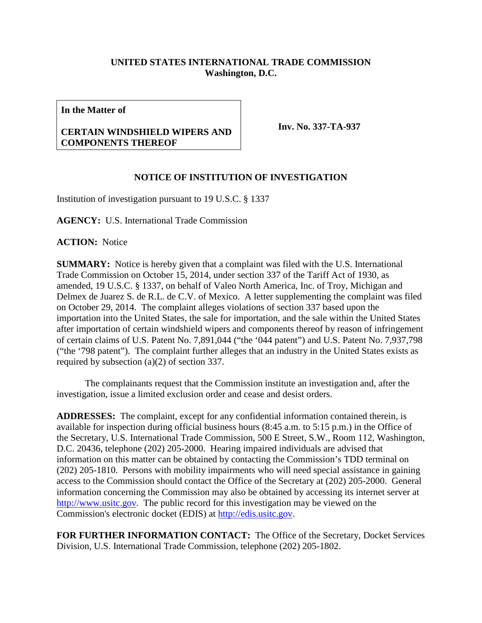## **UNITED STATES INTERNATIONAL TRADE COMMISSION Washington, D.C.**

**In the Matter of**

## **CERTAIN WINDSHIELD WIPERS AND COMPONENTS THEREOF**

**Inv. No. 337-TA-937**

## **NOTICE OF INSTITUTION OF INVESTIGATION**

Institution of investigation pursuant to 19 U.S.C. § 1337

**AGENCY:** U.S. International Trade Commission

**ACTION:** Notice

**SUMMARY:** Notice is hereby given that a complaint was filed with the U.S. International Trade Commission on October 15, 2014, under section 337 of the Tariff Act of 1930, as amended, 19 U.S.C. § 1337, on behalf of Valeo North America, Inc. of Troy, Michigan and Delmex de Juarez S. de R.L. de C.V. of Mexico. A letter supplementing the complaint was filed on October 29, 2014. The complaint alleges violations of section 337 based upon the importation into the United States, the sale for importation, and the sale within the United States after importation of certain windshield wipers and components thereof by reason of infringement of certain claims of U.S. Patent No. 7,891,044 ("the '044 patent") and U.S. Patent No. 7,937,798 ("the '798 patent"). The complaint further alleges that an industry in the United States exists as required by subsection (a)(2) of section 337.

The complainants request that the Commission institute an investigation and, after the investigation, issue a limited exclusion order and cease and desist orders.

**ADDRESSES:** The complaint, except for any confidential information contained therein, is available for inspection during official business hours (8:45 a.m. to 5:15 p.m.) in the Office of the Secretary, U.S. International Trade Commission, 500 E Street, S.W., Room 112, Washington, D.C. 20436, telephone (202) 205-2000. Hearing impaired individuals are advised that information on this matter can be obtained by contacting the Commission's TDD terminal on (202) 205-1810. Persons with mobility impairments who will need special assistance in gaining access to the Commission should contact the Office of the Secretary at (202) 205-2000. General information concerning the Commission may also be obtained by accessing its internet server at [http://www.usitc.gov.](http://www.usitc.gov/) The public record for this investigation may be viewed on the Commission's electronic docket (EDIS) at [http://edis.usitc.gov.](http://edis.usitc.gov/)

**FOR FURTHER INFORMATION CONTACT:** The Office of the Secretary, Docket Services Division, U.S. International Trade Commission, telephone (202) 205-1802.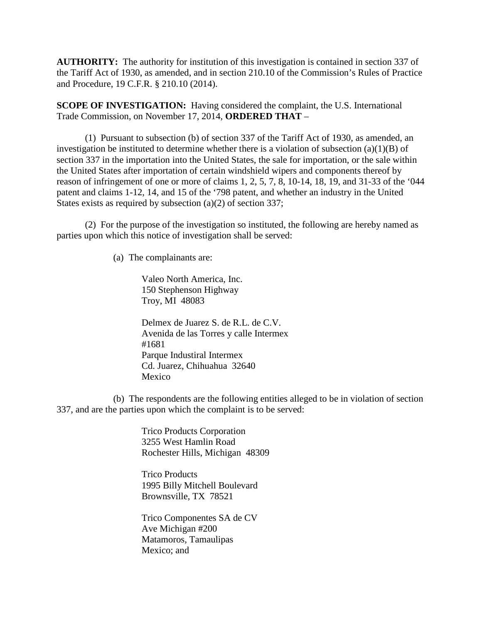**AUTHORITY:** The authority for institution of this investigation is contained in section 337 of the Tariff Act of 1930, as amended, and in section 210.10 of the Commission's Rules of Practice and Procedure, 19 C.F.R. § 210.10 (2014).

**SCOPE OF INVESTIGATION:** Having considered the complaint, the U.S. International Trade Commission, on November 17, 2014, **ORDERED THAT** –

(1) Pursuant to subsection (b) of section 337 of the Tariff Act of 1930, as amended, an investigation be instituted to determine whether there is a violation of subsection  $(a)(1)(B)$  of section 337 in the importation into the United States, the sale for importation, or the sale within the United States after importation of certain windshield wipers and components thereof by reason of infringement of one or more of claims 1, 2, 5, 7, 8, 10-14, 18, 19, and 31-33 of the '044 patent and claims 1-12, 14, and 15 of the '798 patent, and whether an industry in the United States exists as required by subsection (a)(2) of section 337;

(2) For the purpose of the investigation so instituted, the following are hereby named as parties upon which this notice of investigation shall be served:

(a) The complainants are:

Valeo North America, Inc. 150 Stephenson Highway Troy, MI 48083

Delmex de Juarez S. de R.L. de C.V. Avenida de las Torres y calle Intermex #1681 Parque Industiral Intermex Cd. Juarez, Chihuahua 32640 Mexico

(b) The respondents are the following entities alleged to be in violation of section 337, and are the parties upon which the complaint is to be served:

> Trico Products Corporation 3255 West Hamlin Road Rochester Hills, Michigan 48309

Trico Products 1995 Billy Mitchell Boulevard Brownsville, TX 78521

Trico Componentes SA de CV Ave Michigan #200 Matamoros, Tamaulipas Mexico; and